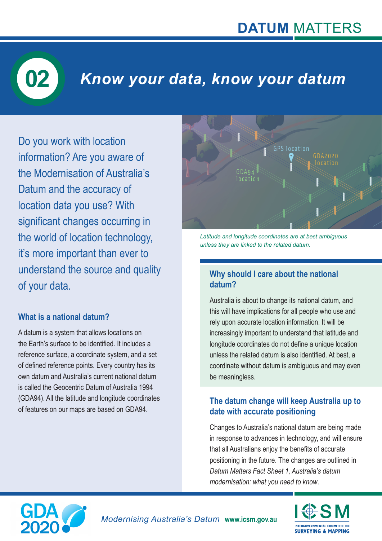# **02** *Know your data, know your datum*

Do you work with location information? Are you aware of the Modernisation of Australia's Datum and the accuracy of location data you use? With significant changes occurring in the world of location technology, it's more important than ever to understand the source and quality of your data.

#### **What is a national datum?**

A datum is a system that allows locations on the Earth's surface to be identified. It includes a reference surface, a coordinate system, and a set of defined reference points. Every country has its own datum and Australia's current national datum is called the Geocentric Datum of Australia 1994 (GDA94). All the latitude and longitude coordinates of features on our maps are based on GDA94.



*Latitude and longitude coordinates are at best ambiguous unless they are linked to the related datum.*

#### **Why should I care about the national datum?**

Australia is about to change its national datum, and this will have implications for all people who use and rely upon accurate location information. It will be increasingly important to understand that latitude and longitude coordinates do not define a unique location unless the related datum is also identified. At best, a coordinate without datum is ambiguous and may even be meaningless.

#### **The datum change will keep Australia up to date with accurate positioning**

Changes to Australia's national datum are being made in response to advances in technology, and will ensure that all Australians enjoy the benefits of accurate positioning in the future. The changes are outlined in *Datum Matters Fact Sheet 1, Australia's datum modernisation: what you need to know*.





*Modernising Australia's Datum* **www.icsm.gov.au**